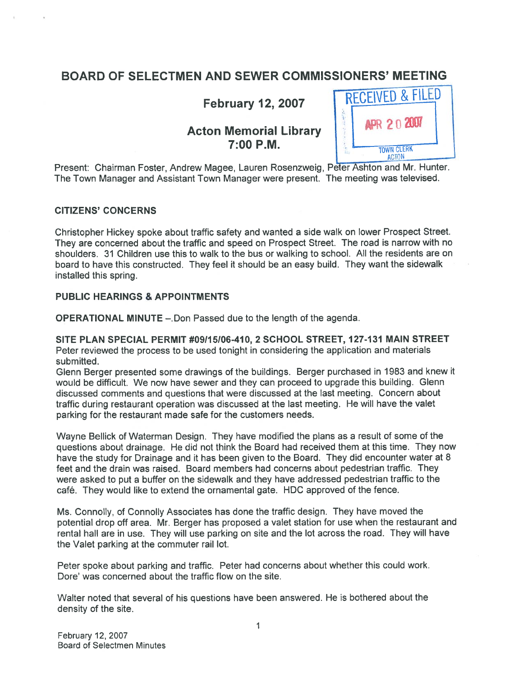## BOARD OF SELECTMEN AND SEWER COMMISSIONERS' MEETING

**Acton Memorial Library** 7:00 P.M.  $I_{\text{TOWN CLERK}}$ 



Present: Chairman Foster, Andrew Magee, Lauren Rosenzweig, Peter Ashton and Mr. Hunter. The Town Manager and Assistant Town Manager were present. The meeting was televised.

#### CITIZENS' CONCERNS

Christopher Hickey spoke about traffic safety and wanted <sup>a</sup> side walk on lower Prospect Street. They are concerned about the traffic and speed on Prospect Street. The road is narrow with no shoulders. 31 Children use this to walk to the bus or walking to school. All the residents are on board to have this constructed. They feel it should be an easy build. They want the sidewalk installed this spring.

#### PUBLIC HEARINGS & APPOINTMENTS

OPERATIONAL MINUTE —.Don Passed due to the length of the agenda.

SITE PLAN SPECIAL PERMIT #09115106-410, 2 SCHOOL STREET, 127-131 MAIN STREET Peter reviewed the process to be used tonight in considering the application and materials submitted.

Glenn Berger presented some drawings of the buildings. Berger purchased in <sup>1983</sup> and knew it would be difficult. We now have sewer and they can proceed to upgrade this building. Glenn discussed comments and questions that were discussed at the last meeting. Concern about traffic during restaurant operation was discussed at the last meeting. He will have the valet parking for the restaurant made safe for the customers needs.

Wayne Bellick of Waterman Design. They have modified the <sup>p</sup>lans as <sup>a</sup> result of some of the questions about drainage. He did not think the Board had received them at this time. They now have the study for Drainage and it has been <sup>g</sup>iven to the Board. They did encounter water at <sup>8</sup> feet and the drain was raised. Board members had concerns about pedestrian traffic. They were asked to pu<sup>t</sup> <sup>a</sup> buffer on the sidewalk and they have addressed pedestrian traffic to the café. They would like to extend the ornamental gate. HDC approved of the fence.

Ms. Connolly, of Connolly Associates has done the traffic design. They have moved the potential drop off area. Mr. Berger has proposed <sup>a</sup> valet station for use when the restaurant and rental hail are in use. They will use parking on site and the lot across the road. They will have the Valet parking at the commuter rail lot.

Peter spoke about parking and traffic. Peter had concerns about whether this could work. Dore' was concerned about the traffic flow on the site.

Walter noted that several of his questions have been answered. He is bothered about the density of the site.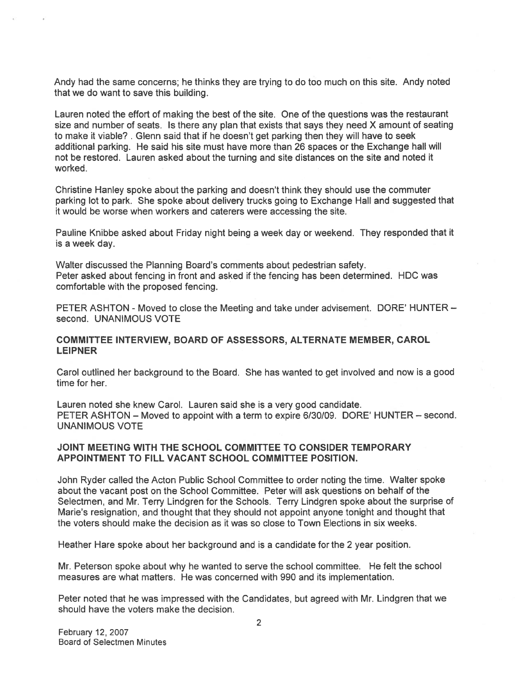Andy had the same concerns; he thinks they are trying to do too much on this site. Andy noted that we do want to save this building.

Lauren noted the effort of making the best of the site. One of the questions was the restaurant size and number of seats. Is there any plan that exists that says they need <sup>X</sup> amount of seating to make it viable? . Glenn said that if he doesn't ge<sup>t</sup> parking then they will have to seek additional parking. He said his site must have more than 26 spaces or the Exchange hall will not be restored. Lauren asked about the turning and site distances on the site and noted it worked.

Christine Hanley spoke about the parking and doesn't think they should use the commuter parking lot to park. She spoke about delivery trucks going to Exchange Hall and suggested that it would be worse when workers and caterers were accessing the site.

Pauline Knibbe asked about Friday night being <sup>a</sup> week day or weekend. They responded that it is <sup>a</sup> week day.

Walter discussed the Planning Board's comments about pedestrian safety. Peter asked about fencing in front and asked if the fencing has been determined. HDC was comfortable with the proposed fencing.

PETER ASHTON - Moved to close the Meeting and take under advisement. DORE' HUNTER second. UNANIMOUS VOTE

#### COMMITTEE INTERVIEW, BOARD OF ASSESSORS, ALTERNATE MEMBER, CAROL LEIPNER

Carol outlined her background to the Board. She has wanted to ge<sup>t</sup> involved and now is <sup>a</sup> good time for her.

Lauren noted she knew Carol. Lauren said she is <sup>a</sup> very good candidate. PETER ASHTON — Moved to appoint with <sup>a</sup> term to expire 6/30/09. DORE' HUNTER — second. UNANIMOUS VOTE

#### JOINT MEETING WITH THE SCHOOL COMMITTEE TO CONSIDER TEMPORARY APPOINTMENT TO FILL VACANT SCHOOL COMMITTEE POSITION.

John Ryder called the Acton Public School Committee to order noting the time. Walter spoke about the vacant pos<sup>t</sup> on the School Committee. Peter will ask questions on behalf of the Selectmen, and Mr. Terry Lindgren for the Schools. Terry Lindgren spoke about the surprise of Marie's resignation, and thought that they should not appoint anyone tonight and thought that the voters should make the decision as it was so close to Town Elections in six weeks.

Heather Hare spoke about her background and is <sup>a</sup> candidate for the 2 year position.

Mr. Peterson spoke about why he wanted to serve the school committee. He felt the school measures are what matters. He was concerned with 990 and its implementation.

Peter noted that he was impressed with the Candidates, but agreed with Mr. Lindgren that we should have the voters make the decision.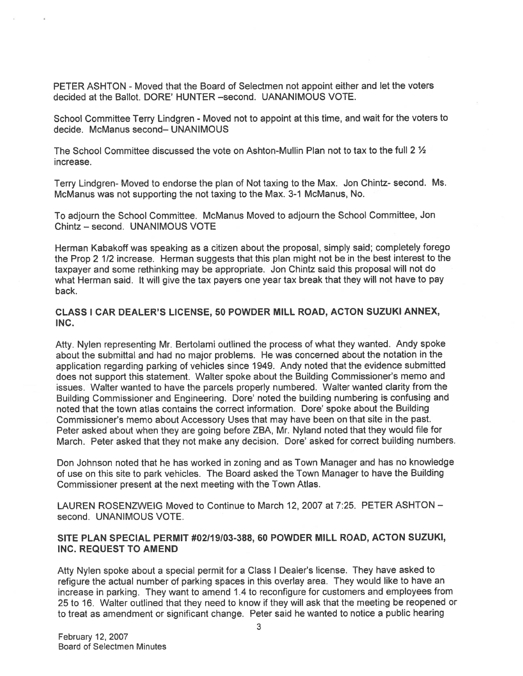PETER ASHTON - Moved that the Board of Selectmen not appoint either and let the voters decided at the Ballot. DORE' HUNTER —second. UANANIMOUS VOTE.

School Committee Terry Lindgren - Moved not to appoint at this time, and wait for the voters to decide. McManus second— UNANIMOUS

The School Committee discussed the vote on Ashton-Mullin Plan not to tax to the full 2 ½ increase.

Terry Lindgren- Moved to endorse the <sup>p</sup>lan of Not taxing to the Max. Jon Chintz- second. Ms. McManus was not supporting the not taxing to the Max. 3-1 McManus, No.

To adjourn the School Committee. McManus Moved to adjourn the School Committee, Jon Chintz — second. UNANIMOUS VOTE

Herman Kabakoff was speaking as <sup>a</sup> citizen about the proposal, simply said; completely forego the Prop <sup>2</sup> 1/2 increase. Herman suggests that this <sup>p</sup>lan might not be in the best interest to the taxpayer and some rethinking may be appropriate. Jon Chintz said this proposa<sup>l</sup> will not do what Herman said. It will <sup>g</sup>ive the tax payers one year tax break that they will not have to pay back.

#### CLASS 1 CAR DEALER'S LICENSE, 50 POWDER MILL ROAD, ACTON SUZUKI ANNEX, INC.

Atty. Nylen representing Mr. Bertolami outlined the process of what they wanted. Andy spoke about the submittal and had no major problems. He was concerned about the notation in the application regarding parking of vehicles since 1949. Andy noted that the evidence submitted does not suppor<sup>t</sup> this statement. Walter spoke about the Building Commissioner's memo and issues. Walter wanted to have the parcels properly numbered. Walter wanted clarity from the Building Commissioner and Engineering. Dote' noted the building numbering is confusing and noted that the town atlas contains the correct information. Dore' spoke about the Building Commissioner's memo about Accessory Uses that may have been on that site in the past. Peter asked about when they are going before ZBA, Mr. Nyland noted that they would file for March. Peter asked that they not make any decision. Dote' asked for correct building numbers.

Don Johnson noted that he has worked in zoning and as Town Manager and has no knowledge of use on this site to park vehicles. The Board asked the Town Manager to have the Building Commissioner presen<sup>t</sup> at the next meeting with the Town Atlas.

LAUREN ROSENZWEIG Moved to Continue to March 12, 2007 at 7:25. PETER ASHTON second. UNANIMOUS VOTE.

#### SITE PLAN SPECIAL PERMIT #02119103-388, 60 POWDER MILL ROAD, ACTON SUZUKI, INC. REQUEST TO AMEND

Atty Nylen spoke about <sup>a</sup> special permit for <sup>a</sup> Class <sup>I</sup> Dealer's license. They have asked to refigure the actual number of parking spaces in this overlay area. They would like to have an increase in parking. They want to amend 1.4 to reconfigure for customers and employees from <sup>25</sup> to 16. Walter outlined that they need to know if they will ask that the meeting be reopene<sup>d</sup> or to treat as amendment or significant change. Peter said he wanted to notice <sup>a</sup> public hearing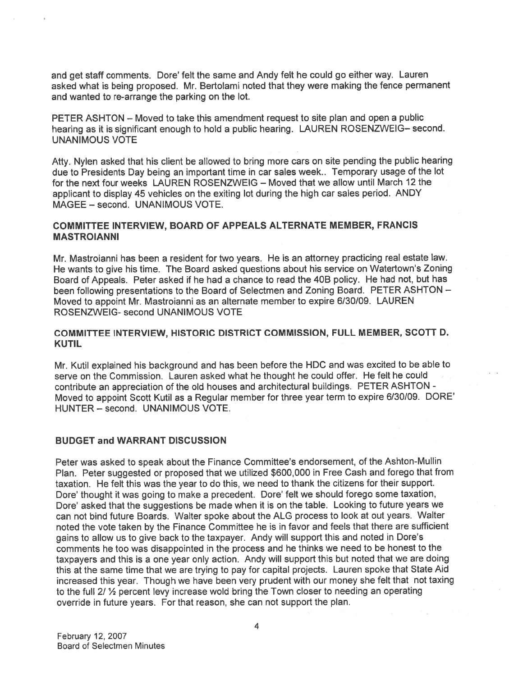and get staff comments. Dore' felt the same and Andy felt he could go either way. Lauren asked what is being proposed. Mr. Bertolami noted that they were making the fence permanen<sup>t</sup> and wanted to te-arrange the parking on the lot.

PETER ASHTON — Moved to take this amendment reques<sup>t</sup> to site <sup>p</sup>lan and open <sup>a</sup> public hearing as it is significant enoug<sup>h</sup> to hold <sup>a</sup> public hearing. LAUREN ROSENZWEIG— second. UNANIMOUS VOTE

Atty. Nylen asked that his client be allowed to bring more cars on site pending the public hearing due to Presidents Day being an important time in car sales week.. Temporary usage of the lot for the next four weeks LAUREN ROSENZWEIG — Moved that we allow until March 12 the applicant to display <sup>45</sup> vehicles on the exiting lot during the high car sales period. ANDY MAGEE — second. UNANIMOUS VOTE.

#### COMMITTEE INTERVIEW, BOARD OF APPEALS ALTERNATE MEMBER, FRANCIS MASTROIANNI

Mr. Mastroianni has been <sup>a</sup> resident for two years. He is an attorney practicing real estate law. He wants to <sup>g</sup>ive his time. The Board asked questions about his service on Watertown's Zoning Board of Appeals. Peter asked if he had <sup>a</sup> chance to read the 40B policy. He had not, but has been following presentations to the Board of Selectmen and Zoning Board. PETER ASHTON — Moved to appoint Mr. Mastroianni as an alternate member to expire 6/30/09. LAUREN ROSENZWEIG- second UNANIMOUS VOTE

#### COMMITTEE INTERVIEW, HISTORIC DISTRICT COMMISSION, FULL MEMBER, SCOTT D. KUTIL

Mr. Kutil explained his background and has been before the HDC and was excited to be able to serve on the Commission. Lauren asked what he thought he could offer. He felt he could contribute an appreciation of the old houses and architectural buildings. PETER ASHTON - Moved to appoint Scott Kutil as <sup>a</sup> Regular member for three year term to expire 6/30/09. DORE' HUNTER — second. UNANIMOUS VOTE.

#### BUDGET and WARRANT DISCUSSION

Peter was asked to speak about the Finance Committee's endorsement, of the Ashton-Mullin Plan. Peter suggested or propose<sup>d</sup> that we utilized \$600,000 in Free Cash and forego that from taxation. He felt this was the year to do this, we need to thank the citizens for their support. Dore' thought it was going to make <sup>a</sup> precedent. Dore' felt we should forego some taxation, Dore' asked that the suggestions be made when it is on the table. Looking to future years we can not bind future Boards. Walter spoke about the ALG process to look at out years. Walter noted the vote taken by the Finance Committee he is in favor and feels that there are sufficient gains to allow us to <sup>g</sup>ive back to the taxpayer. Andy will suppor<sup>t</sup> this and noted in Dore's comments he too was disappointed in the process and he thinks we need to be honest to the taxpayers and this is <sup>a</sup> one year only action. Andy will suppor<sup>t</sup> this but noted that we are doing this at the same time that we are trying to pay for capital projects. Lauren spoke that State Aid increased this year. Though we have been very prudent with our money she felt that not taxing to the full 2/ 1/2 percent levy increase wold bring the Town closer to needing an operating override in future years. For that reason, she can not suppor<sup>t</sup> the plan.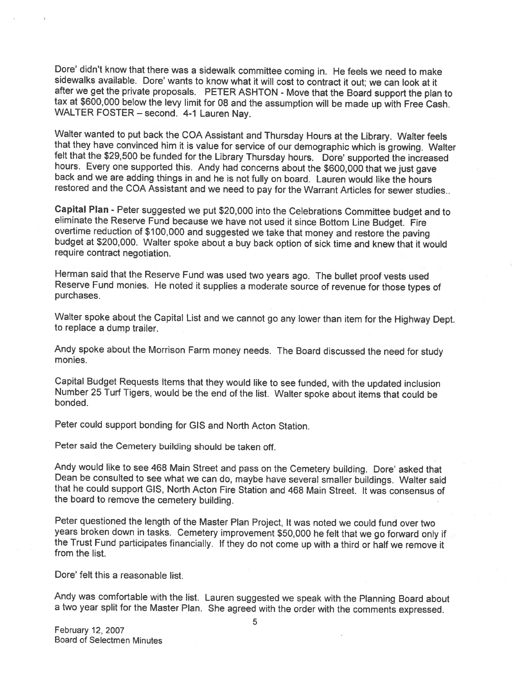Dore' didn't know that there was <sup>a</sup> sidewalk committee coming in. He feels we need to make sidewalks available. Dore' wants to know what it will cost to contract it out; we can look at it after we get the private proposals. PETER ASHTON - Move that the Board support the <sup>p</sup>lan to tax at \$600,000 below the levy limit for 08 and the assumption will be made up with Free Cash.<br>WALTER FOSTER – second. 4-1 Lauren Nay.

Walter wanted to put back the COA Assistant and Thursday Hours at the Library. Walter feels<br>that they have convinced him it is value for service of our demographic which is growing. Walter<br>felt that the \$29,500 be funded f restored and the COA Assistant and we need to pay for the Warrant Articles for sewer studies..

Capital Plan - Peter suggested we put \$20,000 into the Celebrations Committee budget and to eliminate the Reserve Fund because we have not used it since Bottom Line Budget. Fire overtime reduction of \$100,000 and suggested require contract negotiation.

Herman said that the Reserve Fund was used two years ago. The bullet proof vests used Reserve Fund monies. He noted it supplies <sup>a</sup> moderate source of revenue for those types of purchases.

Walter spoke about the Capital List and we cannot go any lower than item for the Highway Dept. to replace <sup>a</sup> dump trailer.

Andy spoke about the Morrison Farm money needs. The Board discussed the need for study monies.

Capital Budget Requests Items that they would like to see funded, with the updated inclusion Number <sup>25</sup> Turf Tigers, would be the end of the list. Walter spoke about items that could be bonded.

Peter could support bonding for GIS and North Acton Station.

Peter said the Cemetery building should be taken off.

Andy would like to see 468 Main Street and pass on the Cemetery building. Dore' asked that<br>Dean be consulted to see what we can do, maybe have several smaller buildings. Walter said<br>that he could support GIS, North Acton F the board to remove the cemetery building.

Peter questioned the length of the Master Plan Project, It was noted we could fund over two<br>years broken down in tasks. Cemetery improvement \$50,000 he felt that we go forward only if the Trust Fund participates financially. If they do not come up with a third or half we remove it from the list.

Dore' felt this a reasonable list.

Andy was comfortable with the list. Lauren suggested we speak with the Planning Board about <sup>a</sup> two year split for the Master Plan. She agreed with the order with the comments expressed.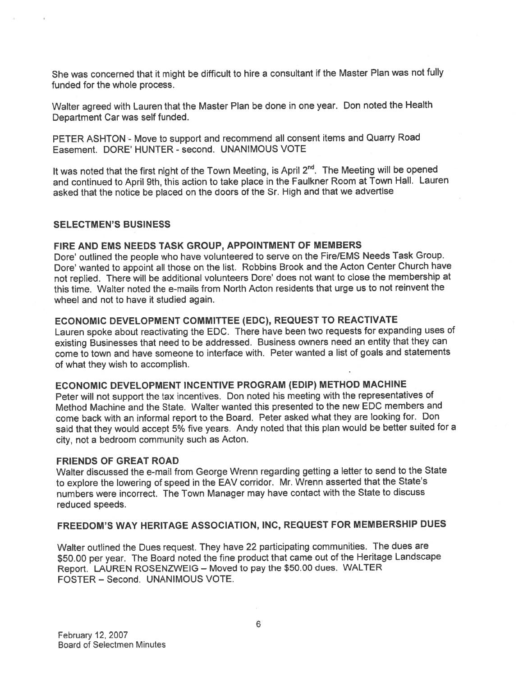She was concerned that it might be difficult to hire <sup>a</sup> consultant if the Master Plan was not fully funded for the whole process.

Walter agree<sup>d</sup> with Lauren that the Master Plan be done in one year. Don noted the Health Department Car was self funded.

PETER ASHTON - Move to support and recommend all consent items and Quarry Road Easement. DORE' HUNTER -second. UNANIMOUS VOTE

It was noted that the first night of the Town Meeting, is April 2<sup>nd</sup>. The Meeting will be opened and continued to April 9th, this action to take <sup>p</sup>lace in the Faulkner Room at Town Hall. Lauren asked that the notice be <sup>p</sup>laced on the doors of the Sr. High and that we advertise

#### SELECTMEN'S BUSINESS

#### FIRE AND EMS NEEDS TASK GROUP, APPOINTMENT OF MEMBERS

Dore' outlined the people who have volunteered to serve on the Fire/EMS Needs Task Group. Dote' wanted to appoint all those on the list. Robbins Brook and the Acton Center Church have not replied. There will be additional volunteers Dore' does not want to close the membership at this time. Walter noted the e-mails from North Acton residents that urge us to not reinvent the wheel and not to have it studied again.

#### ECONOMIC DEVELOPMENT COMMITTEE (EDC), REQUEST TO REACTIVATE

Lauren spoke about reactivating the EDC. There have been two requests for expanding uses of existing Businesses that need to be addressed. Business owners need an entity that they can come to town and have someone to interface with. Peter wanted <sup>a</sup> list of goals and statements of what they wish to accomplish.

#### ECONOMIC DEVELOPMENT INCENTIVE PROGRAM (EDIP) METHOD MACHINE

Peter will not suppor<sup>t</sup> the tax incentives. Don noted his meeting with the representatives of Method Machine and the State. Walter wanted this presented to the new EDC members and come back with an informal repor<sup>t</sup> to the Board. Peter asked what they are looking for. Don said that they would accep<sup>t</sup> 5% five years. Andy noted that this <sup>p</sup>lan would be better suited for <sup>a</sup> city, not <sup>a</sup> bedroom community such as Acton.

#### FRIENDS OF GREAT ROAD

Walter discussed the e-mail from George Wrenn regarding getting <sup>a</sup> letter to send to the State to explore the lowering of spee<sup>d</sup> in the EAV corridor. Mr. Wrenn asserted that the State's numbers were incorrect. The Town Manager may have contact with the State to discuss reduced speeds.

#### FREEDOM'S WAY HERITAGE ASSOCIATION, INC, REQUEST FOR MEMBERSHIP DUES

Walter outlined the Dues request. They have <sup>22</sup> participating communities. The dues are \$50.00 per year. The Board noted the fine product that came out of the Heritage Landscape Report. LAUREN ROSENZWEIG — Moved to pay the \$50.00 dues. WALTER FOSTER — Second. UNANIMOUS VOTE.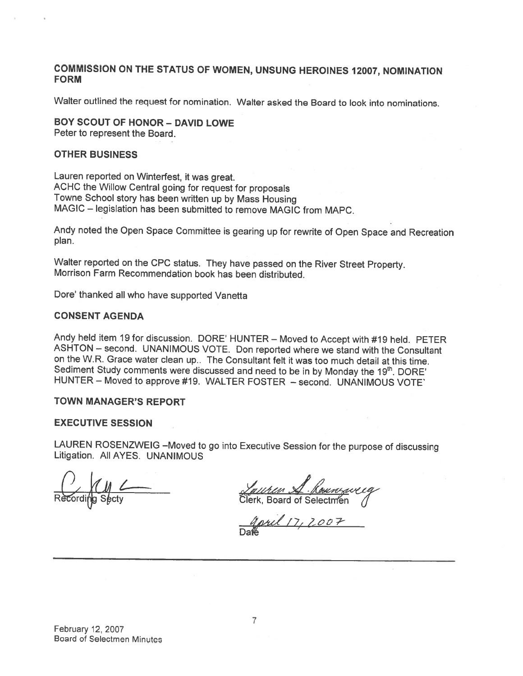#### COMMISSION ON THE STATUS OF WOMEN, UNSUNG HEROINES 12007, NOMINATION FORM

Walter outlined the request for nomination. Walter asked the Board to look into nominations.

## BOY SCOUT OF HONOR - DAVID LOWE

Peter to represent the Board.

#### OTHER BUSINESS

Lauren reported on Winterfest, it was great. ACHC the Willow Central going for request for proposals Towne School story has been written up by Mass Housing MAGIC — legislation has been submitted to remove MAGIC from MAPC.

Andy noted the Open Space Committee is gearing up for rewrite of Open Space and Recreation plan.

Walter reported on the CPC status. They have passed on the River Street Property. Morrison Farm Recommendation book has been distributed.

Dore' thanked all who have supported Vanetta

#### CONSENT AGENDA

Andy held item <sup>19</sup> for discussion. DORE' HUNTER — Moved to Accept with #19 held. PETER ASHTON — second. UNANIMOUS VOTE. Don reported where we stand with the Consultant on the W.R. Grace water clean up.. The Consultant felt it was too much detail at this time. Sediment Study comments were discussed and need to be in by Monday the 19th. DORE' HUNTER — Moved to approve #19. WALTER FOSTER — second. UNANIMOUS VOTE'

#### TOWN MANAGER'S REPORT

#### EXECUTIVE SESSION

LAUREN ROSENZWEIG —Moved to go into Executive Session for the purpose of discussing Litigation. All AYES. UNANIMOUS

<u>Laurian SI. Kousesweeg</u><br>Clerk, Board of Selectmen

Jord 17, 2007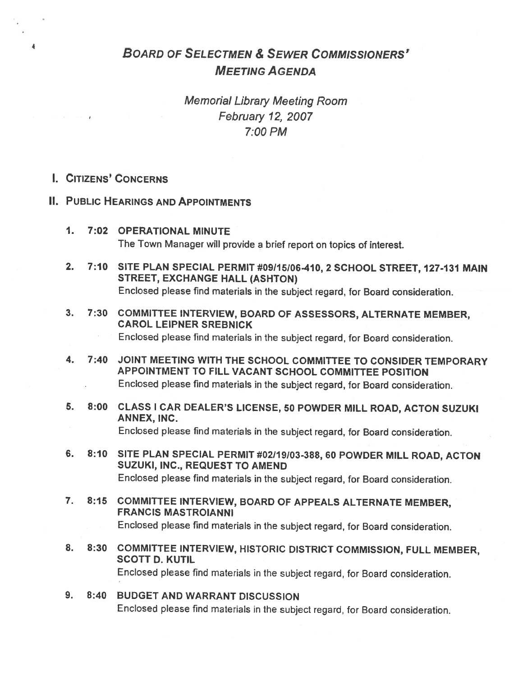# BOARD OF SELECTMEN & SEWER COMMISSIONERS' MEETING AGENDA

Memorial Library Meeting Room February 12, 2007 7:00 PM

I. CITIZENS' CONCERNS

 $\overline{\mathbf{a}}$ 

- II. PUBLIC HEARINGS AND APPOINTMENTS
	- 1. 7:02 OPERATIONAL MINUTE The Town Manager will provide <sup>a</sup> brief report on topics of interest.
	- 2. 7:10 SITE PLAN SPECIAL PERMIT #09115106-410, <sup>2</sup> SCHOOL STREET, 127-131 MAIN STREET, EXCHANGE HALL (ASHTON) Enclosed <sup>p</sup>lease find materials in the subject regard, for Board consideration.
	- 3. 7:30 COMMITTEE INTERVIEW, BOARD OF ASSESSORS, ALTERNATE MEMBER, CAROL LEIPNER SREBNICK

Enclosed <sup>p</sup>lease find materials in the subject regard, for Board consideration.

- 4. 7:40 JOINT MEETING WITH THE SCHOOL COMMITTEE TO CONSIDER TEMPORARY APPOINTMENT TO FILL VACANT SCHOOL COMMITTEE POSITION Enclosed <sup>p</sup>lease find materials in the subject regard, for Board consideration.
- 5. 8:00 CLASS <sup>I</sup> CAR DEALER'S LICENSE, <sup>50</sup> POWDER MILL ROAD, ACTON SUZUKI ANNEX, INC. Enclosed <sup>p</sup>lease find materials in the subject regard, for Board consideration.
- 6. 8:10 SITE PLAN SPECIAL PERMIT #02119/03-388, <sup>60</sup> POWDER MILL ROAD, ACTON SUZUKI, INC., REQUEST TO AMEND Enclosed <sup>p</sup>lease find materials in the subject regard, for Board consideration.
- 7. 8:15 COMMITTEE INTERVIEW, BOARD OF APPEALS ALTERNATE MEMBER, FRANCIS MASTROIANNI Enclosed <sup>p</sup>lease find materials in the subject regard, for Board consideration.
- 8. 8:30 COMMITTEE INTERVIEW, HISTORIC DISTRICT COMMISSION, FULL MEMBER, SCOTT D. KUTIL Enclosed <sup>p</sup>lease find materials in the subject regard, for Board consideration.
- 9. 8:40 BUDGET AND WARRANT DISCUSSION Enclosed <sup>p</sup>lease find materials in the subject regard, for Board consideration.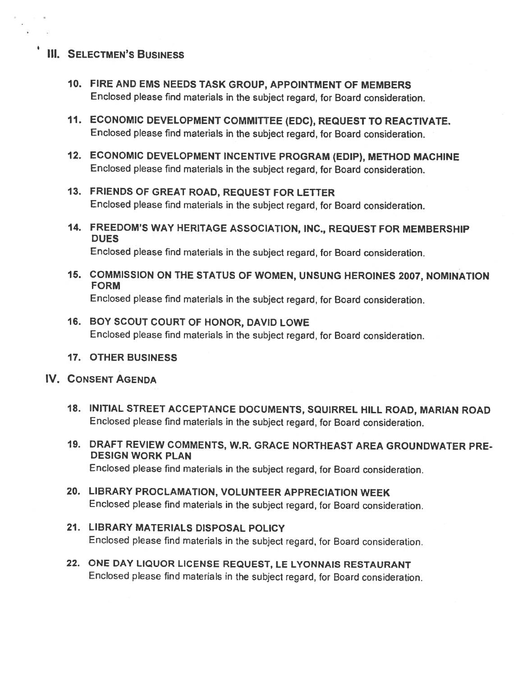## **III. SELECTMEN'S BUSINESS**

- 10. FIRE AND EMS NEEDS TASK GROUP, APPOINTMENT OF MEMBERS Enclosed <sup>p</sup>lease find materials in the subject regard, for Board consideration.
- 11. ECONOMIC DEVELOPMENT COMMITTEE (EDC), REQUEST TO REACTIVATE. Enclosed <sup>p</sup>lease find materials in the subject regard, for Board consideration.
- 12. ECONOMIC DEVELOPMENT INCENTIVE PROGRAM (EDIP), METHOD MACHINE Enclosed <sup>p</sup>lease find materials in the subject regard, for Board consideration.
- 13. FRIENDS OF GREAT ROAD, REQUEST FOR LETTER Enclosed <sup>p</sup>lease find materials in the subject regard, for Board consideration.
- 14. FREEDOM'S WAY HERITAGE ASSOCIATION, INC., REQUEST FOR MEMBERSHIP DUES

Enclosed <sup>p</sup>lease find materials in the subject regard, for Board consideration.

- 15. COMMISSION ON THE STATUS OF WOMEN, UNSUNG HEROINES 2007, NOMINATION FORM Enclosed <sup>p</sup>lease find materials in the subject regard, for Board consideration.
- 16. BOY SCOUT COURT OF HONOR, DAVID LOWE Enclosed <sup>p</sup>lease find materials in the subject regard, for Board consideration.
- 17. OTHER BUSINESS

### IV. CONSENT AGENDA

- 18. INITIAL STREET ACCEPTANCE DOCUMENTS, SQUIRREL HILL ROAD, MARIAN ROAD Enclosed <sup>p</sup>lease find materials in the subject regard, for Board consideration.
- 19. DRAFT REVIEW COMMENTS, W.R. GRACE NORTHEAST AREA GROUNDWATER PRE DESIGN WORK PLAN Enclosed <sup>p</sup>lease find materials in the subject regard, for Board consideration.
- 20. LIBRARY PROCLAMATION, VOLUNTEER APPRECIATION WEEK Enclosed <sup>p</sup>lease find materials in the subject regard, for Board consideration.
- 21. LIBRARY MATERIALS DISPOSAL POLICY Enclosed <sup>p</sup>lease find materials in the subject regard, for Board consideration.
- 22. ONE DAY LIQUOR LICENSE REQUEST, LE LYONNAIS RESTAURANT Enclosed <sup>p</sup>lease find materials in the subject regard, for Board consideration.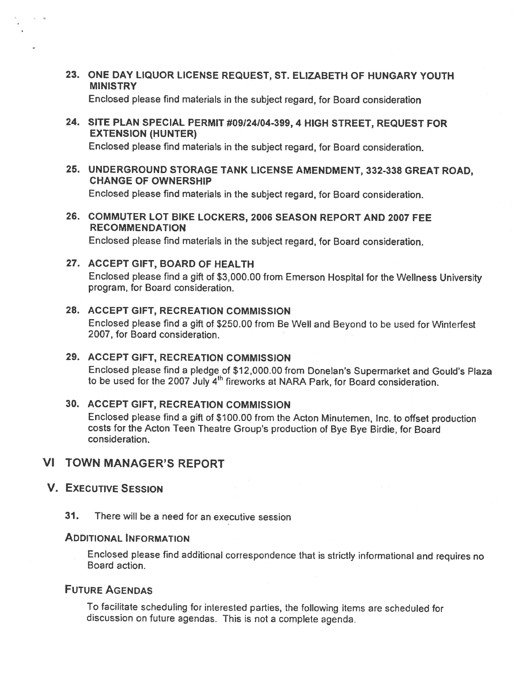23. ONE DAY LIQUOR LICENSE REQUEST, ST. ELIZABETH OF HUNGARY YOUTH MINISTRY

Enclosed <sup>p</sup>lease find materials in the subject regard, for Board consideration

24. SITE PLAN SPECIAL PERMIT #09124104-399, <sup>4</sup> HIGH STREET, REQUEST FOR EXTENSION (HUNTER)

Enclosed <sup>p</sup>lease find materials in the subject regard, for Board consideration.

25. UNDERGROUND STORAGE TANK LICENSE AMENDMENT, 332-338 GREAT ROAD, CHANGE OF OWNERSHIP

Enclosed <sup>p</sup>lease find materials in the subject regard, for Board consideration.

26. COMMUTER LOT BIKE LOCKERS, 2006 SEASON REPORT AND 2007 FEE RECOMMENDATION

Enclosed <sup>p</sup>lease find materials in the subject regard, for Board consideration.

27. ACCEPT GIFT, BOARD OF HEALTH Enclosed <sup>p</sup>lease find <sup>a</sup> <sup>g</sup>ift of \$3,000.00 from Emerson Hospital for the Weilness University program, for Board consideration.

## 28. ACCEPT GIFT, RECREATION COMMISSION Enclosed <sup>p</sup>lease find <sup>a</sup> <sup>g</sup>ift of \$250.00 from Be Well and Beyond to be used for Winterlest 2007, for Board consideration.

## 29. ACCEPT GIFT, RECREATION COMMISSION Enclosed <sup>p</sup>lease find <sup>a</sup> <sup>p</sup>ledge of \$12,000.00 from Donelan's Supermarket and Gould's Plaza to be used for the 2007 July 4<sup>th</sup> fireworks at NARA Park, for Board consideration.

#### 30. ACCEPT GIFT, RECREATION COMMISSION

Enclosed <sup>p</sup>lease find <sup>a</sup> <sup>g</sup>ift of \$100.00 from the Acton Minutemen, Inc. to offset production costs for the Acton Teen Theatre Group's production of Bye Bye Birdie, for Board consideration.

## VI TOWN MANAGER'S REPORT

#### V. EXECUTIVE SESSION

31. There will be <sup>a</sup> need for an executive session

## ADDITIONAL INFORMATION

Enclosed <sup>p</sup>lease find additional correspondence that is strictly informational and requires no Board action.

## FUTURE AGENDAS

To facilitate scheduling for interested parties, the following items are scheduled for discussion on future agendas. This is not <sup>a</sup> complete agenda.